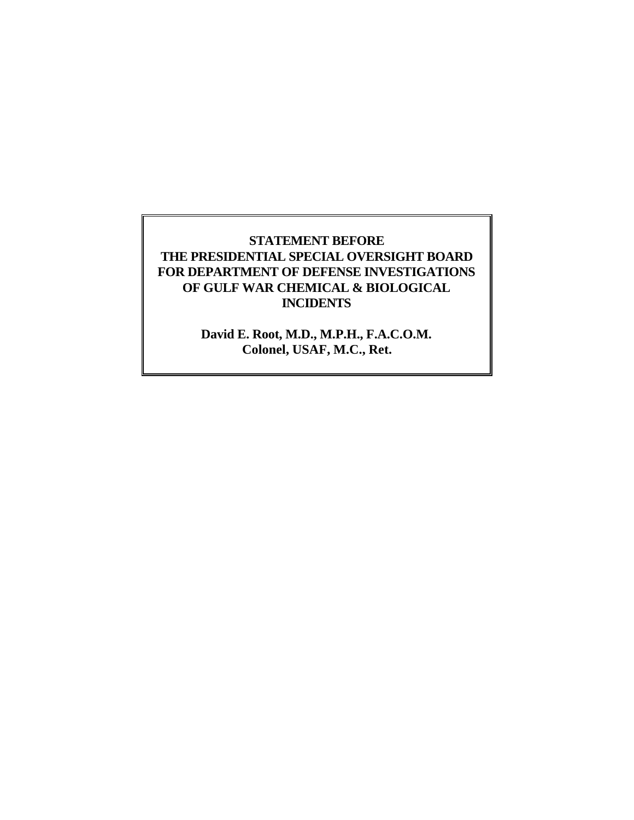## **STATEMENT BEFORE THE PRESIDENTIAL SPECIAL OVERSIGHT BOARD FOR DEPARTMENT OF DEFENSE INVESTIGATIONS OF GULF WAR CHEMICAL & BIOLOGICAL INCIDENTS**

**David E. Root, M.D., M.P.H., F.A.C.O.M. Colonel, USAF, M.C., Ret.**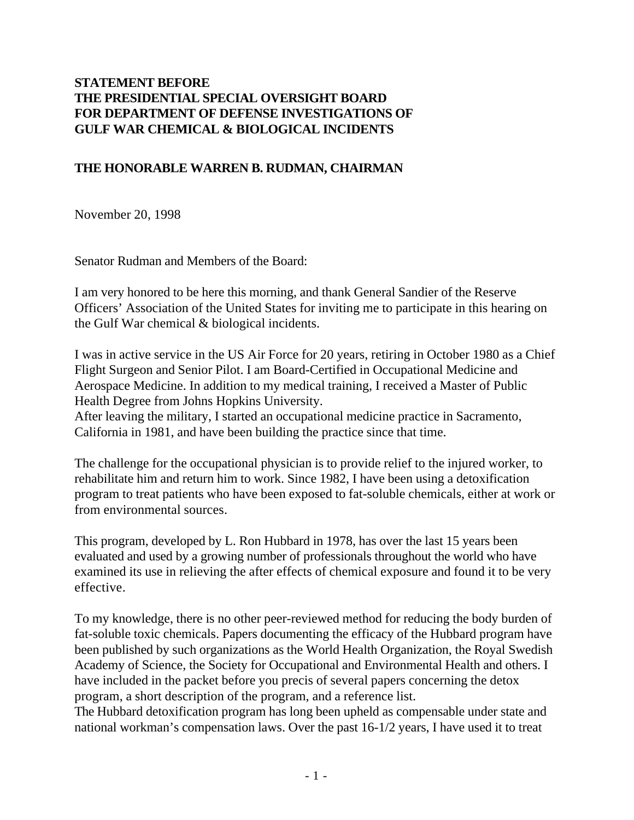## **STATEMENT BEFORE THE PRESIDENTIAL SPECIAL OVERSIGHT BOARD FOR DEPARTMENT OF DEFENSE INVESTIGATIONS OF GULF WAR CHEMICAL & BIOLOGICAL INCIDENTS**

#### **THE HONORABLE WARREN B. RUDMAN, CHAIRMAN**

November 20, 1998

Senator Rudman and Members of the Board:

I am very honored to be here this morning, and thank General Sandier of the Reserve Officers' Association of the United States for inviting me to participate in this hearing on the Gulf War chemical & biological incidents.

I was in active service in the US Air Force for 20 years, retiring in October 1980 as a Chief Flight Surgeon and Senior Pilot. I am Board-Certified in Occupational Medicine and Aerospace Medicine. In addition to my medical training, I received a Master of Public Health Degree from Johns Hopkins University.

After leaving the military, I started an occupational medicine practice in Sacramento, California in 1981, and have been building the practice since that time.

The challenge for the occupational physician is to provide relief to the injured worker, to rehabilitate him and return him to work. Since 1982, I have been using a detoxification program to treat patients who have been exposed to fat-soluble chemicals, either at work or from environmental sources.

This program, developed by L. Ron Hubbard in 1978, has over the last 15 years been evaluated and used by a growing number of professionals throughout the world who have examined its use in relieving the after effects of chemical exposure and found it to be very effective.

To my knowledge, there is no other peer-reviewed method for reducing the body burden of fat-soluble toxic chemicals. Papers documenting the efficacy of the Hubbard program have been published by such organizations as the World Health Organization, the Royal Swedish Academy of Science, the Society for Occupational and Environmental Health and others. I have included in the packet before you precis of several papers concerning the detox program, a short description of the program, and a reference list.

The Hubbard detoxification program has long been upheld as compensable under state and national workman's compensation laws. Over the past 16-1/2 years, I have used it to treat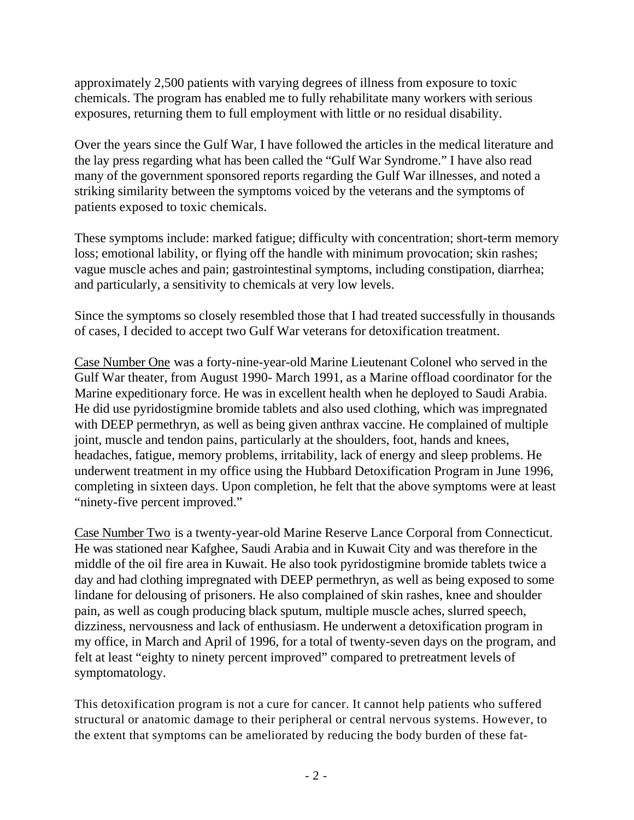approximately 2,500 patients with varying degrees of illness from exposure to toxic chemicals. The program has enabled me to fully rehabilitate many workers with serious exposures, returning them to full employment with little or no residual disability.

Over the years since the Gulf War, I have followed the articles in the medical literature and the lay press regarding what has been called the "Gulf War Syndrome." I have also read many of the government sponsored reports regarding the Gulf War illnesses, and noted a striking similarity between the symptoms voiced by the veterans and the symptoms of patients exposed to toxic chemicals.

These symptoms include: marked fatigue; difficulty with concentration; short-term memory loss; emotional lability, or flying off the handle with minimum provocation; skin rashes; vague muscle aches and pain; gastrointestinal symptoms, including constipation, diarrhea; and particularly, a sensitivity to chemicals at very low levels.

Since the symptoms so closely resembled those that I had treated successfully in thousands of cases, I decided to accept two Gulf War veterans for detoxification treatment.

Case Number One was a forty-nine-year-old Marine Lieutenant Colonel who served in the Gulf War theater, from August 1990- March 1991, as a Marine offload coordinator for the Marine expeditionary force. He was in excellent health when he deployed to Saudi Arabia. He did use pyridostigmine bromide tablets and also used clothing, which was impregnated with DEEP permethryn, as well as being given anthrax vaccine. He complained of multiple joint, muscle and tendon pains, particularly at the shoulders, foot, hands and knees, headaches, fatigue, memory problems, irritability, lack of energy and sleep problems. He underwent treatment in my office using the Hubbard Detoxification Program in June 1996, completing in sixteen days. Upon completion, he felt that the above symptoms were at least "ninety-five percent improved."

Case Number Two is a twenty-year-old Marine Reserve Lance Corporal from Connecticut. He was stationed near Kafghee, Saudi Arabia and in Kuwait City and was therefore in the middle of the oil fire area in Kuwait. He also took pyridostigmine bromide tablets twice a day and had clothing impregnated with DEEP permethryn, as well as being exposed to some lindane for delousing of prisoners. He also complained of skin rashes, knee and shoulder pain, as well as cough producing black sputum, multiple muscle aches, slurred speech, dizziness, nervousness and lack of enthusiasm. He underwent a detoxification program in my office, in March and April of 1996, for a total of twenty-seven days on the program, and felt at least "eighty to ninety percent improved" compared to pretreatment levels of symptomatology.

This detoxification program is not a cure for cancer. It cannot help patients who suffered structural or anatomic damage to their peripheral or central nervous systems. However, to the extent that symptoms can be ameliorated by reducing the body burden of these fat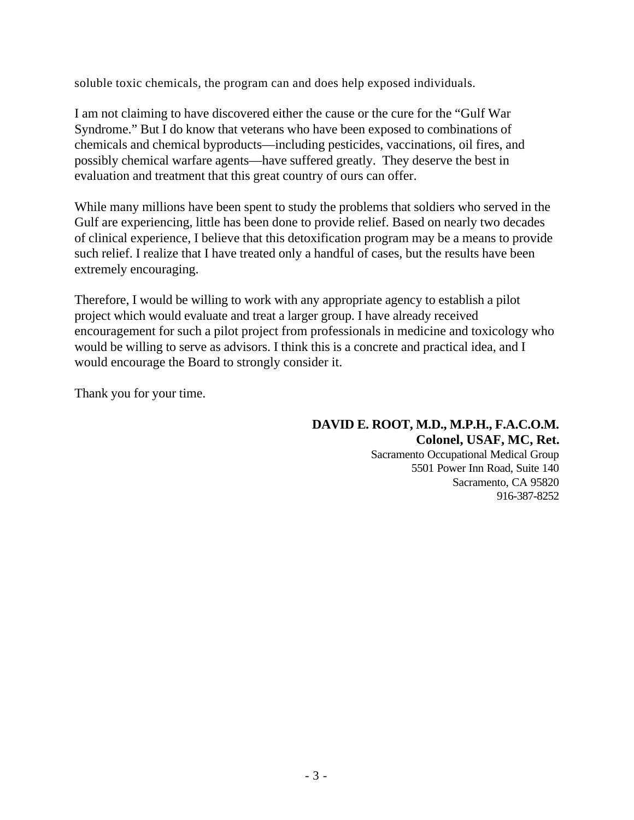soluble toxic chemicals, the program can and does help exposed individuals.

I am not claiming to have discovered either the cause or the cure for the "Gulf War Syndrome." But I do know that veterans who have been exposed to combinations of chemicals and chemical byproducts—including pesticides, vaccinations, oil fires, and possibly chemical warfare agents—have suffered greatly. They deserve the best in evaluation and treatment that this great country of ours can offer.

While many millions have been spent to study the problems that soldiers who served in the Gulf are experiencing, little has been done to provide relief. Based on nearly two decades of clinical experience, I believe that this detoxification program may be a means to provide such relief. I realize that I have treated only a handful of cases, but the results have been extremely encouraging.

Therefore, I would be willing to work with any appropriate agency to establish a pilot project which would evaluate and treat a larger group. I have already received encouragement for such a pilot project from professionals in medicine and toxicology who would be willing to serve as advisors. I think this is a concrete and practical idea, and I would encourage the Board to strongly consider it.

Thank you for your time.

**DAVID E. ROOT, M.D., M.P.H., F.A.C.O.M. Colonel, USAF, MC, Ret.** Sacramento Occupational Medical Group 5501 Power Inn Road, Suite 140 Sacramento, CA 95820 916-387-8252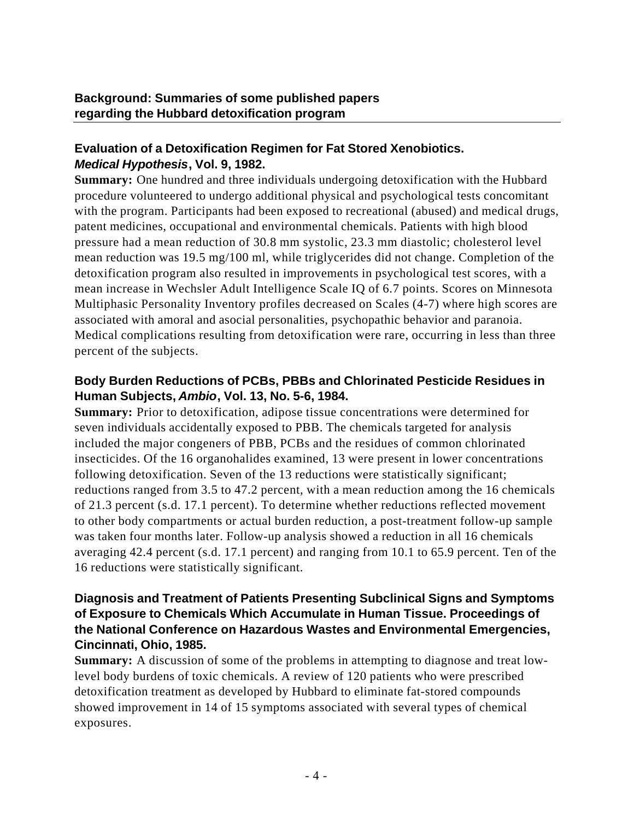#### **Evaluation of a Detoxification Regimen for Fat Stored Xenobiotics.** *Medical Hypothesis***, Vol. 9, 1982.**

**Summary:** One hundred and three individuals undergoing detoxification with the Hubbard procedure volunteered to undergo additional physical and psychological tests concomitant with the program. Participants had been exposed to recreational (abused) and medical drugs, patent medicines, occupational and environmental chemicals. Patients with high blood pressure had a mean reduction of 30.8 mm systolic, 23.3 mm diastolic; cholesterol level mean reduction was 19.5 mg/100 ml, while triglycerides did not change. Completion of the detoxification program also resulted in improvements in psychological test scores, with a mean increase in Wechsler Adult Intelligence Scale IQ of 6.7 points. Scores on Minnesota Multiphasic Personality Inventory profiles decreased on Scales (4-7) where high scores are associated with amoral and asocial personalities, psychopathic behavior and paranoia. Medical complications resulting from detoxification were rare, occurring in less than three percent of the subjects.

#### **Body Burden Reductions of PCBs, PBBs and Chlorinated Pesticide Residues in Human Subjects,** *Ambio***, Vol. 13, No. 5-6, 1984.**

**Summary:** Prior to detoxification, adipose tissue concentrations were determined for seven individuals accidentally exposed to PBB. The chemicals targeted for analysis included the major congeners of PBB, PCBs and the residues of common chlorinated insecticides. Of the 16 organohalides examined, 13 were present in lower concentrations following detoxification. Seven of the 13 reductions were statistically significant; reductions ranged from 3.5 to 47.2 percent, with a mean reduction among the 16 chemicals of 21.3 percent (s.d. 17.1 percent). To determine whether reductions reflected movement to other body compartments or actual burden reduction, a post-treatment follow-up sample was taken four months later. Follow-up analysis showed a reduction in all 16 chemicals averaging 42.4 percent (s.d. 17.1 percent) and ranging from 10.1 to 65.9 percent. Ten of the 16 reductions were statistically significant.

#### **Diagnosis and Treatment of Patients Presenting Subclinical Signs and Symptoms of Exposure to Chemicals Which Accumulate in Human Tissue. Proceedings of the National Conference on Hazardous Wastes and Environmental Emergencies, Cincinnati, Ohio, 1985.**

**Summary:** A discussion of some of the problems in attempting to diagnose and treat lowlevel body burdens of toxic chemicals. A review of 120 patients who were prescribed detoxification treatment as developed by Hubbard to eliminate fat-stored compounds showed improvement in 14 of 15 symptoms associated with several types of chemical exposures.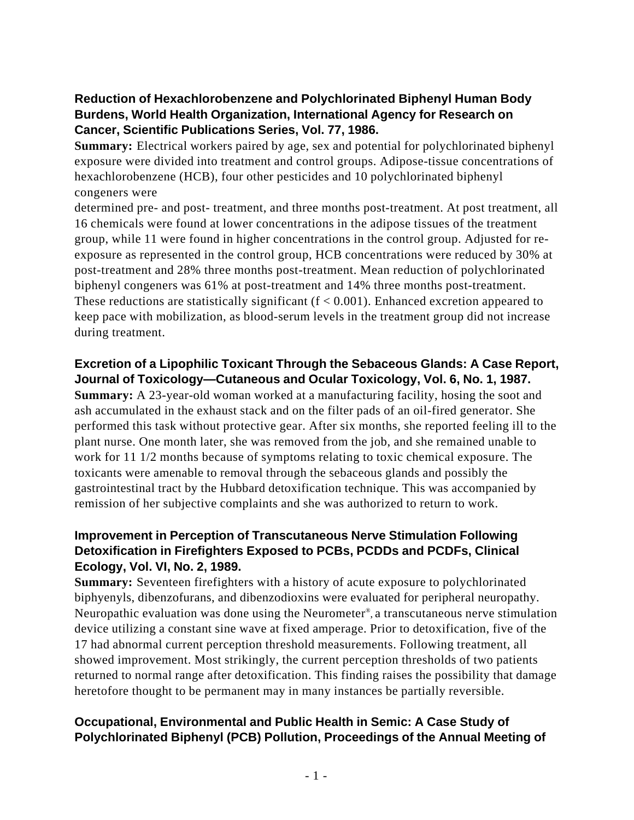# **Reduction of Hexachlorobenzene and Polychlorinated Biphenyl Human Body Burdens, World Health Organization, International Agency for Research on Cancer, Scientific Publications Series, Vol. 77, 1986.**

**Summary:** Electrical workers paired by age, sex and potential for polychlorinated biphenyl exposure were divided into treatment and control groups. Adipose-tissue concentrations of hexachlorobenzene (HCB), four other pesticides and 10 polychlorinated biphenyl congeners were

determined pre- and post- treatment, and three months post-treatment. At post treatment, all 16 chemicals were found at lower concentrations in the adipose tissues of the treatment group, while 11 were found in higher concentrations in the control group. Adjusted for reexposure as represented in the control group, HCB concentrations were reduced by 30% at post-treatment and 28% three months post-treatment. Mean reduction of polychlorinated biphenyl congeners was 61% at post-treatment and 14% three months post-treatment. These reductions are statistically significant  $(f < 0.001)$ . Enhanced excretion appeared to keep pace with mobilization, as blood-serum levels in the treatment group did not increase during treatment.

#### **Excretion of a Lipophilic Toxicant Through the Sebaceous Glands: A Case Report, Journal of Toxicology—Cutaneous and Ocular Toxicology, Vol. 6, No. 1, 1987.**

**Summary:** A 23-year-old woman worked at a manufacturing facility, hosing the soot and ash accumulated in the exhaust stack and on the filter pads of an oil-fired generator. She performed this task without protective gear. After six months, she reported feeling ill to the plant nurse. One month later, she was removed from the job, and she remained unable to work for 11 1/2 months because of symptoms relating to toxic chemical exposure. The toxicants were amenable to removal through the sebaceous glands and possibly the gastrointestinal tract by the Hubbard detoxification technique. This was accompanied by remission of her subjective complaints and she was authorized to return to work.

## **Improvement in Perception of Transcutaneous Nerve Stimulation Following Detoxification in Firefighters Exposed to PCBs, PCDDs and PCDFs, Clinical Ecology, Vol. VI, No. 2, 1989.**

**Summary:** Seventeen firefighters with a history of acute exposure to polychlorinated biphyenyls, dibenzofurans, and dibenzodioxins were evaluated for peripheral neuropathy. Neuropathic evaluation was done using the Neurometer® , a transcutaneous nerve stimulation device utilizing a constant sine wave at fixed amperage. Prior to detoxification, five of the 17 had abnormal current perception threshold measurements. Following treatment, all showed improvement. Most strikingly, the current perception thresholds of two patients returned to normal range after detoxification. This finding raises the possibility that damage heretofore thought to be permanent may in many instances be partially reversible.

## **Occupational, Environmental and Public Health in Semic: A Case Study of Polychlorinated Biphenyl (PCB) Pollution, Proceedings of the Annual Meeting of**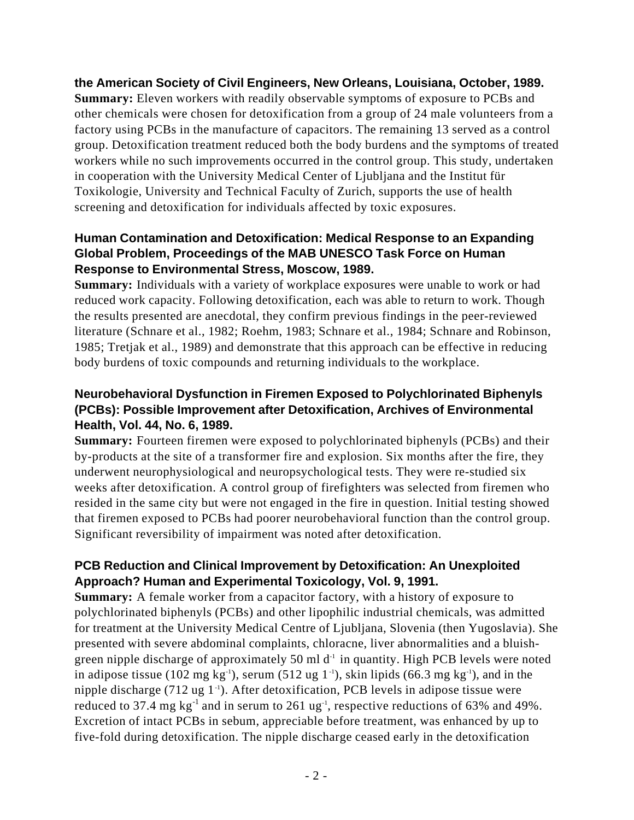#### **the American Society of Civil Engineers, New Orleans, Louisiana, October, 1989.**

**Summary:** Eleven workers with readily observable symptoms of exposure to PCBs and other chemicals were chosen for detoxification from a group of 24 male volunteers from a factory using PCBs in the manufacture of capacitors. The remaining 13 served as a control group. Detoxification treatment reduced both the body burdens and the symptoms of treated workers while no such improvements occurred in the control group. This study, undertaken in cooperation with the University Medical Center of Ljubljana and the Institut für Toxikologie, University and Technical Faculty of Zurich, supports the use of health screening and detoxification for individuals affected by toxic exposures.

## **Human Contamination and Detoxification: Medical Response to an Expanding Global Problem, Proceedings of the MAB UNESCO Task Force on Human Response to Environmental Stress, Moscow, 1989.**

**Summary:** Individuals with a variety of workplace exposures were unable to work or had reduced work capacity. Following detoxification, each was able to return to work. Though the results presented are anecdotal, they confirm previous findings in the peer-reviewed literature (Schnare et al., 1982; Roehm, 1983; Schnare et al., 1984; Schnare and Robinson, 1985; Tretjak et al., 1989) and demonstrate that this approach can be effective in reducing body burdens of toxic compounds and returning individuals to the workplace.

## **Neurobehavioral Dysfunction in Firemen Exposed to Polychlorinated Biphenyls (PCBs): Possible Improvement after Detoxification, Archives of Environmental Health, Vol. 44, No. 6, 1989.**

**Summary:** Fourteen firemen were exposed to polychlorinated biphenyls (PCBs) and their by-products at the site of a transformer fire and explosion. Six months after the fire, they underwent neurophysiological and neuropsychological tests. They were re-studied six weeks after detoxification. A control group of firefighters was selected from firemen who resided in the same city but were not engaged in the fire in question. Initial testing showed that firemen exposed to PCBs had poorer neurobehavioral function than the control group. Significant reversibility of impairment was noted after detoxification.

## **PCB Reduction and Clinical Improvement by Detoxification: An Unexploited Approach? Human and Experimental Toxicology, Vol. 9, 1991.**

**Summary:** A female worker from a capacitor factory, with a history of exposure to polychlorinated biphenyls (PCBs) and other lipophilic industrial chemicals, was admitted for treatment at the University Medical Centre of Ljubljana, Slovenia (then Yugoslavia). She presented with severe abdominal complaints, chloracne, liver abnormalities and a bluishgreen nipple discharge of approximately 50 ml  $d<sup>-1</sup>$  in quantity. High PCB levels were noted in adipose tissue (102 mg kg<sup>-1</sup>), serum (512 ug 1<sup>-1</sup>), skin lipids (66.3 mg kg<sup>-1</sup>), and in the nipple discharge  $(712 \text{ ug } 1^{-1})$ . After detoxification, PCB levels in adipose tissue were reduced to 37.4 mg  $kg^{-1}$  and in serum to 261 ug<sup>-1</sup>, respective reductions of 63% and 49%. Excretion of intact PCBs in sebum, appreciable before treatment, was enhanced by up to five-fold during detoxification. The nipple discharge ceased early in the detoxification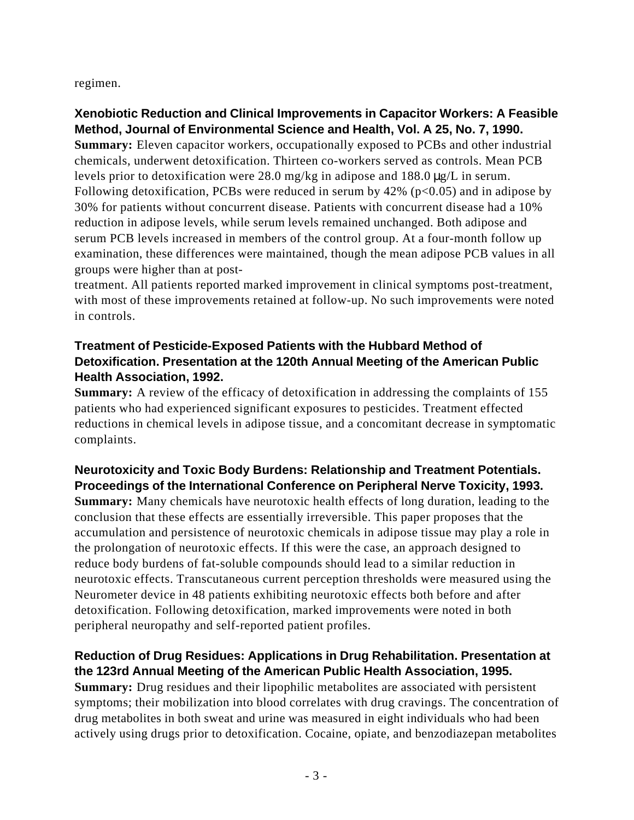regimen.

## **Xenobiotic Reduction and Clinical Improvements in Capacitor Workers: A Feasible Method, Journal of Environmental Science and Health, Vol. A 25, No. 7, 1990.**

**Summary:** Eleven capacitor workers, occupationally exposed to PCBs and other industrial chemicals, underwent detoxification. Thirteen co-workers served as controls. Mean PCB levels prior to detoxification were 28.0 mg/kg in adipose and 188.0 μg/L in serum. Following detoxification, PCBs were reduced in serum by  $42\%$  (p<0.05) and in adipose by 30% for patients without concurrent disease. Patients with concurrent disease had a 10% reduction in adipose levels, while serum levels remained unchanged. Both adipose and serum PCB levels increased in members of the control group. At a four-month follow up examination, these differences were maintained, though the mean adipose PCB values in all groups were higher than at post-

treatment. All patients reported marked improvement in clinical symptoms post-treatment, with most of these improvements retained at follow-up. No such improvements were noted in controls.

## **Treatment of Pesticide-Exposed Patients with the Hubbard Method of Detoxification. Presentation at the 120th Annual Meeting of the American Public Health Association, 1992.**

**Summary:** A review of the efficacy of detoxification in addressing the complaints of 155 patients who had experienced significant exposures to pesticides. Treatment effected reductions in chemical levels in adipose tissue, and a concomitant decrease in symptomatic complaints.

# **Neurotoxicity and Toxic Body Burdens: Relationship and Treatment Potentials. Proceedings of the International Conference on Peripheral Nerve Toxicity, 1993.**

**Summary:** Many chemicals have neurotoxic health effects of long duration, leading to the conclusion that these effects are essentially irreversible. This paper proposes that the accumulation and persistence of neurotoxic chemicals in adipose tissue may play a role in the prolongation of neurotoxic effects. If this were the case, an approach designed to reduce body burdens of fat-soluble compounds should lead to a similar reduction in neurotoxic effects. Transcutaneous current perception thresholds were measured using the Neurometer device in 48 patients exhibiting neurotoxic effects both before and after detoxification. Following detoxification, marked improvements were noted in both peripheral neuropathy and self-reported patient profiles.

## **Reduction of Drug Residues: Applications in Drug Rehabilitation. Presentation at the 123rd Annual Meeting of the American Public Health Association, 1995.**

**Summary:** Drug residues and their lipophilic metabolites are associated with persistent symptoms; their mobilization into blood correlates with drug cravings. The concentration of drug metabolites in both sweat and urine was measured in eight individuals who had been actively using drugs prior to detoxification. Cocaine, opiate, and benzodiazepan metabolites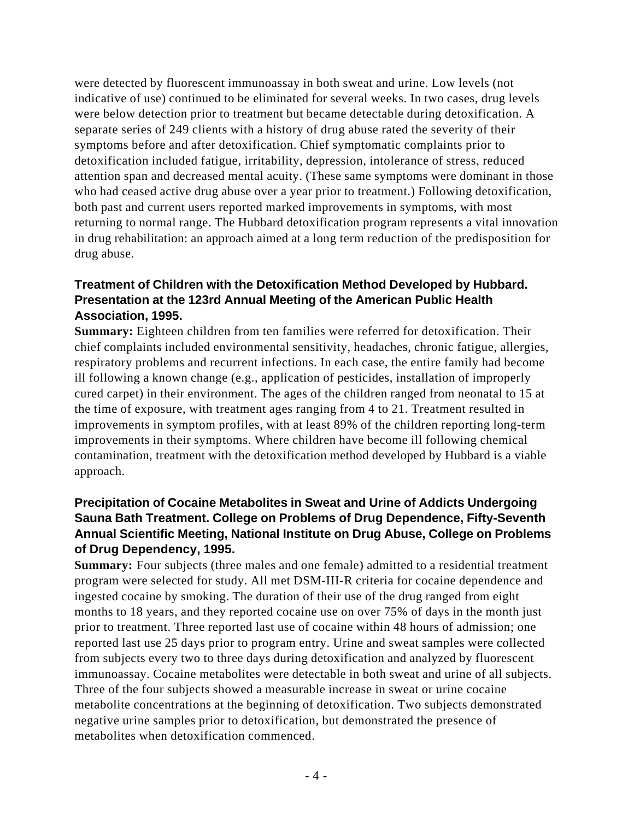were detected by fluorescent immunoassay in both sweat and urine. Low levels (not indicative of use) continued to be eliminated for several weeks. In two cases, drug levels were below detection prior to treatment but became detectable during detoxification. A separate series of 249 clients with a history of drug abuse rated the severity of their symptoms before and after detoxification. Chief symptomatic complaints prior to detoxification included fatigue, irritability, depression, intolerance of stress, reduced attention span and decreased mental acuity. (These same symptoms were dominant in those who had ceased active drug abuse over a year prior to treatment.) Following detoxification, both past and current users reported marked improvements in symptoms, with most returning to normal range. The Hubbard detoxification program represents a vital innovation in drug rehabilitation: an approach aimed at a long term reduction of the predisposition for drug abuse.

## **Treatment of Children with the Detoxification Method Developed by Hubbard. Presentation at the 123rd Annual Meeting of the American Public Health Association, 1995.**

**Summary:** Eighteen children from ten families were referred for detoxification. Their chief complaints included environmental sensitivity, headaches, chronic fatigue, allergies, respiratory problems and recurrent infections. In each case, the entire family had become ill following a known change (e.g., application of pesticides, installation of improperly cured carpet) in their environment. The ages of the children ranged from neonatal to 15 at the time of exposure, with treatment ages ranging from 4 to 21. Treatment resulted in improvements in symptom profiles, with at least 89% of the children reporting long-term improvements in their symptoms. Where children have become ill following chemical contamination, treatment with the detoxification method developed by Hubbard is a viable approach.

#### **Precipitation of Cocaine Metabolites in Sweat and Urine of Addicts Undergoing Sauna Bath Treatment. College on Problems of Drug Dependence, Fifty-Seventh Annual Scientific Meeting, National Institute on Drug Abuse, College on Problems of Drug Dependency, 1995.**

**Summary:** Four subjects (three males and one female) admitted to a residential treatment program were selected for study. All met DSM-III-R criteria for cocaine dependence and ingested cocaine by smoking. The duration of their use of the drug ranged from eight months to 18 years, and they reported cocaine use on over 75% of days in the month just prior to treatment. Three reported last use of cocaine within 48 hours of admission; one reported last use 25 days prior to program entry. Urine and sweat samples were collected from subjects every two to three days during detoxification and analyzed by fluorescent immunoassay. Cocaine metabolites were detectable in both sweat and urine of all subjects. Three of the four subjects showed a measurable increase in sweat or urine cocaine metabolite concentrations at the beginning of detoxification. Two subjects demonstrated negative urine samples prior to detoxification, but demonstrated the presence of metabolites when detoxification commenced.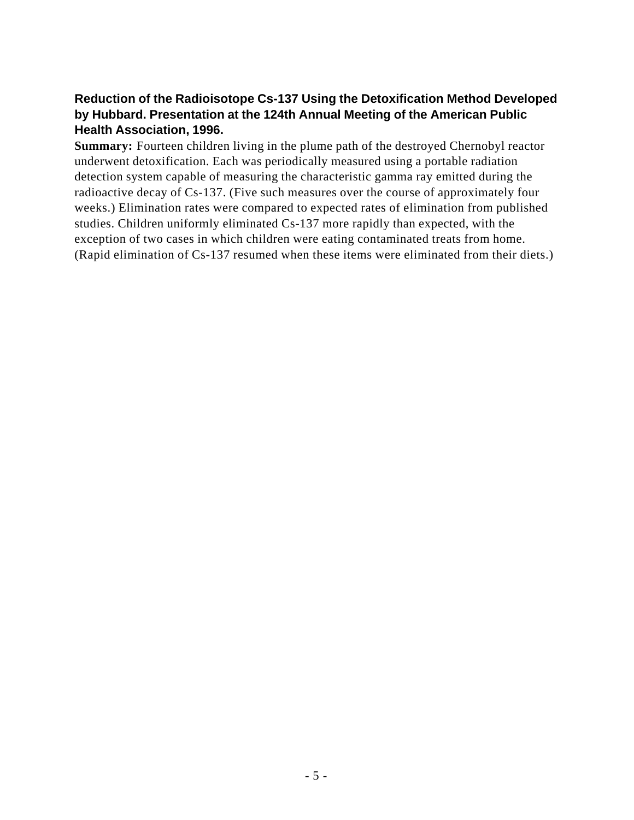## **Reduction of the Radioisotope Cs-137 Using the Detoxification Method Developed by Hubbard. Presentation at the 124th Annual Meeting of the American Public Health Association, 1996.**

**Summary:** Fourteen children living in the plume path of the destroyed Chernobyl reactor underwent detoxification. Each was periodically measured using a portable radiation detection system capable of measuring the characteristic gamma ray emitted during the radioactive decay of Cs-137. (Five such measures over the course of approximately four weeks.) Elimination rates were compared to expected rates of elimination from published studies. Children uniformly eliminated Cs-137 more rapidly than expected, with the exception of two cases in which children were eating contaminated treats from home. (Rapid elimination of Cs-137 resumed when these items were eliminated from their diets.)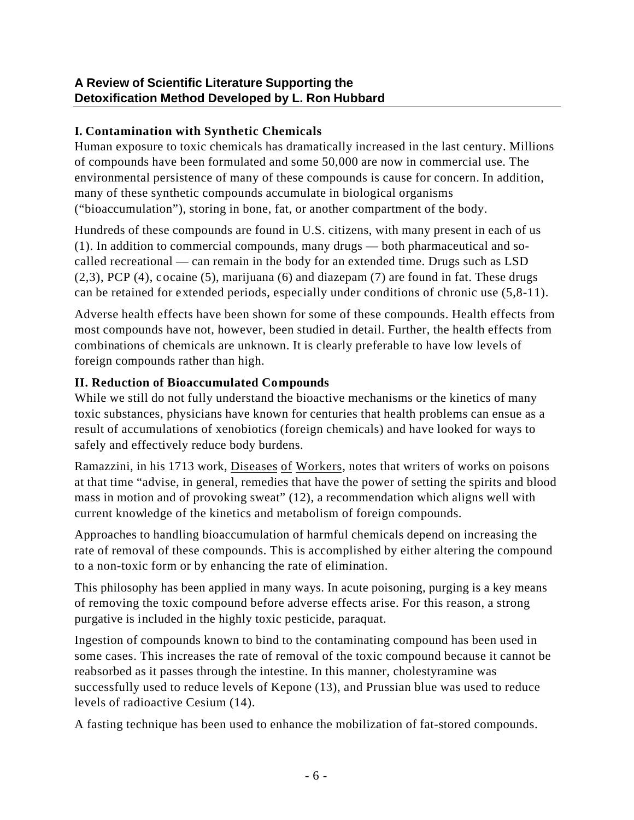## **I. Contamination with Synthetic Chemicals**

Human exposure to toxic chemicals has dramatically increased in the last century. Millions of compounds have been formulated and some 50,000 are now in commercial use. The environmental persistence of many of these compounds is cause for concern. In addition, many of these synthetic compounds accumulate in biological organisms ("bioaccumulation"), storing in bone, fat, or another compartment of the body.

Hundreds of these compounds are found in U.S. citizens, with many present in each of us (1). In addition to commercial compounds, many drugs — both pharmaceutical and socalled recreational — can remain in the body for an extended time. Drugs such as LSD (2,3), PCP (4), cocaine (5), marijuana (6) and diazepam (7) are found in fat. These drugs can be retained for extended periods, especially under conditions of chronic use (5,8-11).

Adverse health effects have been shown for some of these compounds. Health effects from most compounds have not, however, been studied in detail. Further, the health effects from combinations of chemicals are unknown. It is clearly preferable to have low levels of foreign compounds rather than high.

## **II. Reduction of Bioaccumulated Compounds**

While we still do not fully understand the bioactive mechanisms or the kinetics of many toxic substances, physicians have known for centuries that health problems can ensue as a result of accumulations of xenobiotics (foreign chemicals) and have looked for ways to safely and effectively reduce body burdens.

Ramazzini, in his 1713 work, Diseases of Workers, notes that writers of works on poisons at that time "advise, in general, remedies that have the power of setting the spirits and blood mass in motion and of provoking sweat" (12), a recommendation which aligns well with current knowledge of the kinetics and metabolism of foreign compounds.

Approaches to handling bioaccumulation of harmful chemicals depend on increasing the rate of removal of these compounds. This is accomplished by either altering the compound to a non-toxic form or by enhancing the rate of elimination.

This philosophy has been applied in many ways. In acute poisoning, purging is a key means of removing the toxic compound before adverse effects arise. For this reason, a strong purgative is included in the highly toxic pesticide, paraquat.

Ingestion of compounds known to bind to the contaminating compound has been used in some cases. This increases the rate of removal of the toxic compound because it cannot be reabsorbed as it passes through the intestine. In this manner, cholestyramine was successfully used to reduce levels of Kepone (13), and Prussian blue was used to reduce levels of radioactive Cesium (14).

A fasting technique has been used to enhance the mobilization of fat-stored compounds.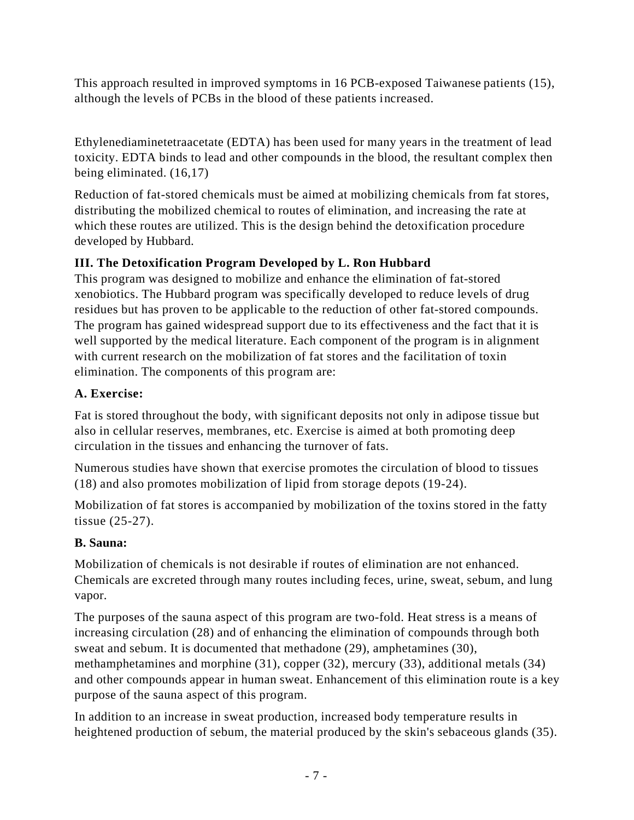This approach resulted in improved symptoms in 16 PCB-exposed Taiwanese patients (15), although the levels of PCBs in the blood of these patients increased.

Ethylenediaminetetraacetate (EDTA) has been used for many years in the treatment of lead toxicity. EDTA binds to lead and other compounds in the blood, the resultant complex then being eliminated. (16,17)

Reduction of fat-stored chemicals must be aimed at mobilizing chemicals from fat stores, distributing the mobilized chemical to routes of elimination, and increasing the rate at which these routes are utilized. This is the design behind the detoxification procedure developed by Hubbard.

# **III. The Detoxification Program Developed by L. Ron Hubbard**

This program was designed to mobilize and enhance the elimination of fat-stored xenobiotics. The Hubbard program was specifically developed to reduce levels of drug residues but has proven to be applicable to the reduction of other fat-stored compounds. The program has gained widespread support due to its effectiveness and the fact that it is well supported by the medical literature. Each component of the program is in alignment with current research on the mobilization of fat stores and the facilitation of toxin elimination. The components of this program are:

# **A. Exercise:**

Fat is stored throughout the body, with significant deposits not only in adipose tissue but also in cellular reserves, membranes, etc. Exercise is aimed at both promoting deep circulation in the tissues and enhancing the turnover of fats.

Numerous studies have shown that exercise promotes the circulation of blood to tissues (18) and also promotes mobilization of lipid from storage depots (19-24).

Mobilization of fat stores is accompanied by mobilization of the toxins stored in the fatty tissue (25-27).

# **B. Sauna:**

Mobilization of chemicals is not desirable if routes of elimination are not enhanced. Chemicals are excreted through many routes including feces, urine, sweat, sebum, and lung vapor.

The purposes of the sauna aspect of this program are two-fold. Heat stress is a means of increasing circulation (28) and of enhancing the elimination of compounds through both sweat and sebum. It is documented that methadone (29), amphetamines (30), methamphetamines and morphine (31), copper (32), mercury (33), additional metals (34) and other compounds appear in human sweat. Enhancement of this elimination route is a key purpose of the sauna aspect of this program.

In addition to an increase in sweat production, increased body temperature results in heightened production of sebum, the material produced by the skin's sebaceous glands (35).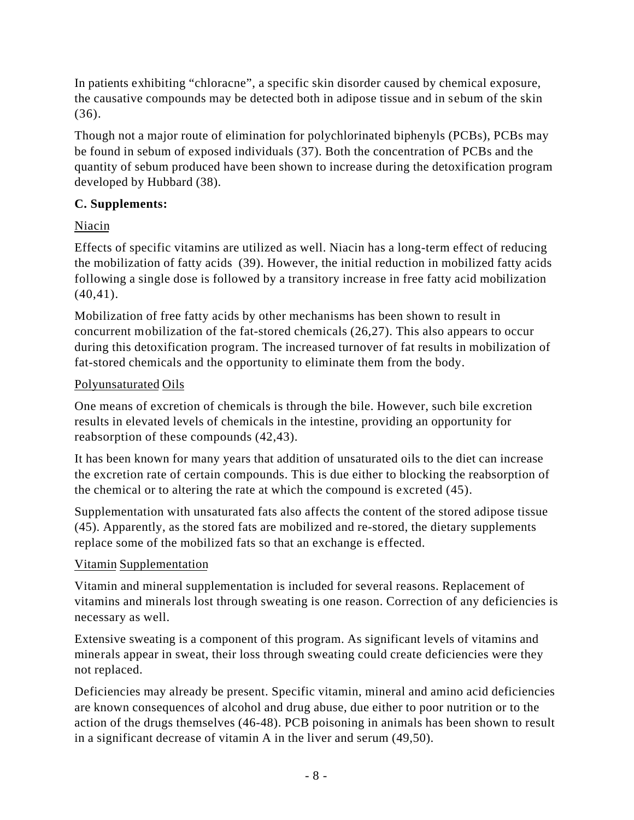In patients exhibiting "chloracne", a specific skin disorder caused by chemical exposure, the causative compounds may be detected both in adipose tissue and in sebum of the skin (36).

Though not a major route of elimination for polychlorinated biphenyls (PCBs), PCBs may be found in sebum of exposed individuals (37). Both the concentration of PCBs and the quantity of sebum produced have been shown to increase during the detoxification program developed by Hubbard (38).

## **C. Supplements:**

# Niacin

Effects of specific vitamins are utilized as well. Niacin has a long-term effect of reducing the mobilization of fatty acids (39). However, the initial reduction in mobilized fatty acids following a single dose is followed by a transitory increase in free fatty acid mobilization  $(40, 41)$ .

Mobilization of free fatty acids by other mechanisms has been shown to result in concurrent mobilization of the fat-stored chemicals (26,27). This also appears to occur during this detoxification program. The increased turnover of fat results in mobilization of fat-stored chemicals and the opportunity to eliminate them from the body.

## Polyunsaturated Oils

One means of excretion of chemicals is through the bile. However, such bile excretion results in elevated levels of chemicals in the intestine, providing an opportunity for reabsorption of these compounds (42,43).

It has been known for many years that addition of unsaturated oils to the diet can increase the excretion rate of certain compounds. This is due either to blocking the reabsorption of the chemical or to altering the rate at which the compound is excreted (45).

Supplementation with unsaturated fats also affects the content of the stored adipose tissue (45). Apparently, as the stored fats are mobilized and re-stored, the dietary supplements replace some of the mobilized fats so that an exchange is effected.

# Vitamin Supplementation

Vitamin and mineral supplementation is included for several reasons. Replacement of vitamins and minerals lost through sweating is one reason. Correction of any deficiencies is necessary as well.

Extensive sweating is a component of this program. As significant levels of vitamins and minerals appear in sweat, their loss through sweating could create deficiencies were they not replaced.

Deficiencies may already be present. Specific vitamin, mineral and amino acid deficiencies are known consequences of alcohol and drug abuse, due either to poor nutrition or to the action of the drugs themselves (46-48). PCB poisoning in animals has been shown to result in a significant decrease of vitamin A in the liver and serum (49,50).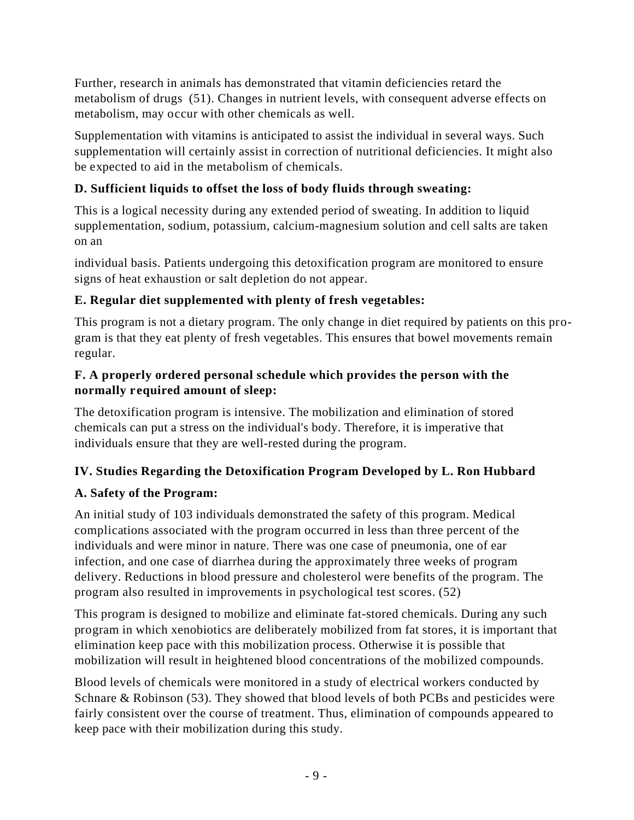Further, research in animals has demonstrated that vitamin deficiencies retard the metabolism of drugs (51). Changes in nutrient levels, with consequent adverse effects on metabolism, may occur with other chemicals as well.

Supplementation with vitamins is anticipated to assist the individual in several ways. Such supplementation will certainly assist in correction of nutritional deficiencies. It might also be expected to aid in the metabolism of chemicals.

# **D. Sufficient liquids to offset the loss of body fluids through sweating:**

This is a logical necessity during any extended period of sweating. In addition to liquid supplementation, sodium, potassium, calcium-magnesium solution and cell salts are taken on an

individual basis. Patients undergoing this detoxification program are monitored to ensure signs of heat exhaustion or salt depletion do not appear.

# **E. Regular diet supplemented with plenty of fresh vegetables:**

This program is not a dietary program. The only change in diet required by patients on this program is that they eat plenty of fresh vegetables. This ensures that bowel movements remain regular.

#### **F. A properly ordered personal schedule which provides the person with the normally required amount of sleep:**

The detoxification program is intensive. The mobilization and elimination of stored chemicals can put a stress on the individual's body. Therefore, it is imperative that individuals ensure that they are well-rested during the program.

# **IV. Studies Regarding the Detoxification Program Developed by L. Ron Hubbard**

# **A. Safety of the Program:**

An initial study of 103 individuals demonstrated the safety of this program. Medical complications associated with the program occurred in less than three percent of the individuals and were minor in nature. There was one case of pneumonia, one of ear infection, and one case of diarrhea during the approximately three weeks of program delivery. Reductions in blood pressure and cholesterol were benefits of the program. The program also resulted in improvements in psychological test scores. (52)

This program is designed to mobilize and eliminate fat-stored chemicals. During any such program in which xenobiotics are deliberately mobilized from fat stores, it is important that elimination keep pace with this mobilization process. Otherwise it is possible that mobilization will result in heightened blood concentrations of the mobilized compounds.

Blood levels of chemicals were monitored in a study of electrical workers conducted by Schnare & Robinson (53). They showed that blood levels of both PCBs and pesticides were fairly consistent over the course of treatment. Thus, elimination of compounds appeared to keep pace with their mobilization during this study.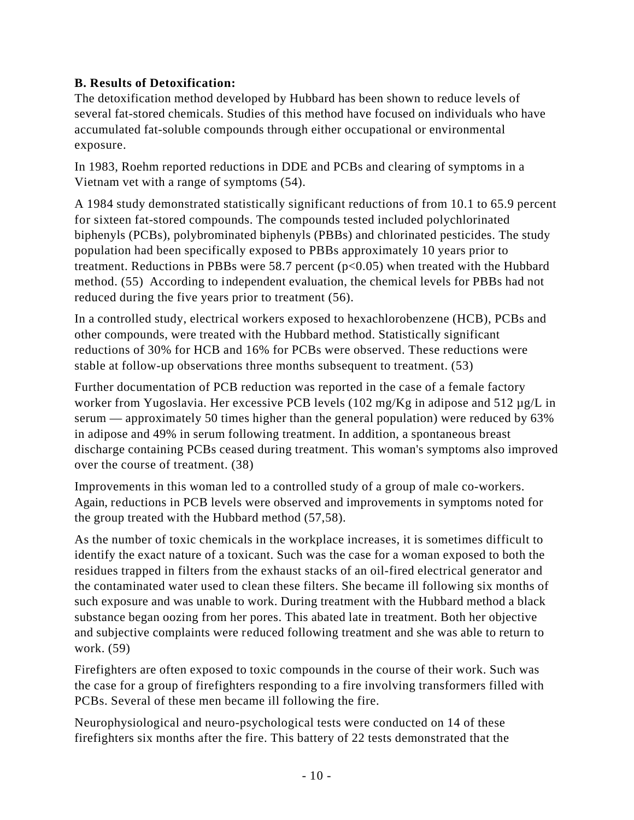# **B. Results of Detoxification:**

The detoxification method developed by Hubbard has been shown to reduce levels of several fat-stored chemicals. Studies of this method have focused on individuals who have accumulated fat-soluble compounds through either occupational or environmental exposure.

In 1983, Roehm reported reductions in DDE and PCBs and clearing of symptoms in a Vietnam vet with a range of symptoms (54).

A 1984 study demonstrated statistically significant reductions of from 10.1 to 65.9 percent for sixteen fat-stored compounds. The compounds tested included polychlorinated biphenyls (PCBs), polybrominated biphenyls (PBBs) and chlorinated pesticides. The study population had been specifically exposed to PBBs approximately 10 years prior to treatment. Reductions in PBBs were 58.7 percent  $(p<0.05)$  when treated with the Hubbard method. (55) According to independent evaluation, the chemical levels for PBBs had not reduced during the five years prior to treatment (56).

In a controlled study, electrical workers exposed to hexachlorobenzene (HCB), PCBs and other compounds, were treated with the Hubbard method. Statistically significant reductions of 30% for HCB and 16% for PCBs were observed. These reductions were stable at follow-up observations three months subsequent to treatment. (53)

Further documentation of PCB reduction was reported in the case of a female factory worker from Yugoslavia. Her excessive PCB levels (102 mg/Kg in adipose and 512 µg/L in serum — approximately 50 times higher than the general population) were reduced by 63% in adipose and 49% in serum following treatment. In addition, a spontaneous breast discharge containing PCBs ceased during treatment. This woman's symptoms also improved over the course of treatment. (38)

Improvements in this woman led to a controlled study of a group of male co-workers. Again, reductions in PCB levels were observed and improvements in symptoms noted for the group treated with the Hubbard method (57,58).

As the number of toxic chemicals in the workplace increases, it is sometimes difficult to identify the exact nature of a toxicant. Such was the case for a woman exposed to both the residues trapped in filters from the exhaust stacks of an oil-fired electrical generator and the contaminated water used to clean these filters. She became ill following six months of such exposure and was unable to work. During treatment with the Hubbard method a black substance began oozing from her pores. This abated late in treatment. Both her objective and subjective complaints were reduced following treatment and she was able to return to work. (59)

Firefighters are often exposed to toxic compounds in the course of their work. Such was the case for a group of firefighters responding to a fire involving transformers filled with PCBs. Several of these men became ill following the fire.

Neurophysiological and neuro-psychological tests were conducted on 14 of these firefighters six months after the fire. This battery of 22 tests demonstrated that the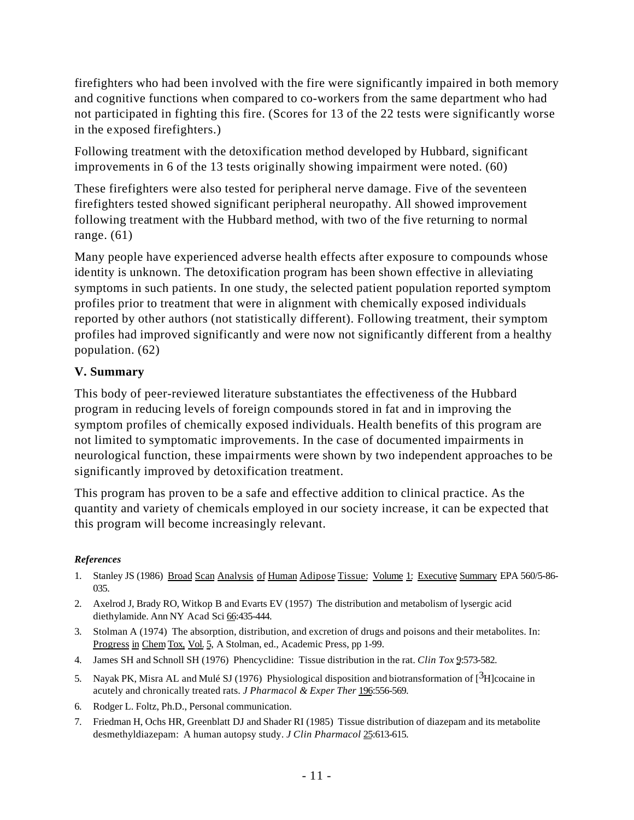firefighters who had been involved with the fire were significantly impaired in both memory and cognitive functions when compared to co-workers from the same department who had not participated in fighting this fire. (Scores for 13 of the 22 tests were significantly worse in the exposed firefighters.)

Following treatment with the detoxification method developed by Hubbard, significant improvements in 6 of the 13 tests originally showing impairment were noted. (60)

These firefighters were also tested for peripheral nerve damage. Five of the seventeen firefighters tested showed significant peripheral neuropathy. All showed improvement following treatment with the Hubbard method, with two of the five returning to normal range. (61)

Many people have experienced adverse health effects after exposure to compounds whose identity is unknown. The detoxification program has been shown effective in alleviating symptoms in such patients. In one study, the selected patient population reported symptom profiles prior to treatment that were in alignment with chemically exposed individuals reported by other authors (not statistically different). Following treatment, their symptom profiles had improved significantly and were now not significantly different from a healthy population. (62)

#### **V. Summary**

This body of peer-reviewed literature substantiates the effectiveness of the Hubbard program in reducing levels of foreign compounds stored in fat and in improving the symptom profiles of chemically exposed individuals. Health benefits of this program are not limited to symptomatic improvements. In the case of documented impairments in neurological function, these impairments were shown by two independent approaches to be significantly improved by detoxification treatment.

This program has proven to be a safe and effective addition to clinical practice. As the quantity and variety of chemicals employed in our society increase, it can be expected that this program will become increasingly relevant.

#### *References*

- 1. Stanley JS (1986) Broad Scan Analysis of Human Adipose Tissue: Volume 1: Executive Summary EPA 560/5-86-035.
- 2. Axelrod J, Brady RO, Witkop B and Evarts EV (1957) The distribution and metabolism of lysergic acid diethylamide. Ann NY Acad Sci 66:435-444.
- 3. Stolman A (1974) The absorption, distribution, and excretion of drugs and poisons and their metabolites. In: Progress in Chem Tox, Vol. 5, A Stolman, ed., Academic Press, pp 1-99.
- 4. James SH and Schnoll SH (1976) Phencyclidine: Tissue distribution in the rat. *Clin Tox* 9:573-582.
- 5. Nayak PK, Misra AL and Mulé SJ (1976) Physiological disposition and biotransformation of [3H]cocaine in acutely and chronically treated rats. *J Pharmacol & Exper Ther* 196:556-569.
- 6. Rodger L. Foltz, Ph.D., Personal communication.
- 7. Friedman H, Ochs HR, Greenblatt DJ and Shader RI (1985) Tissue distribution of diazepam and its metabolite desmethyldiazepam: A human autopsy study. *J Clin Pharmacol* 25:613-615.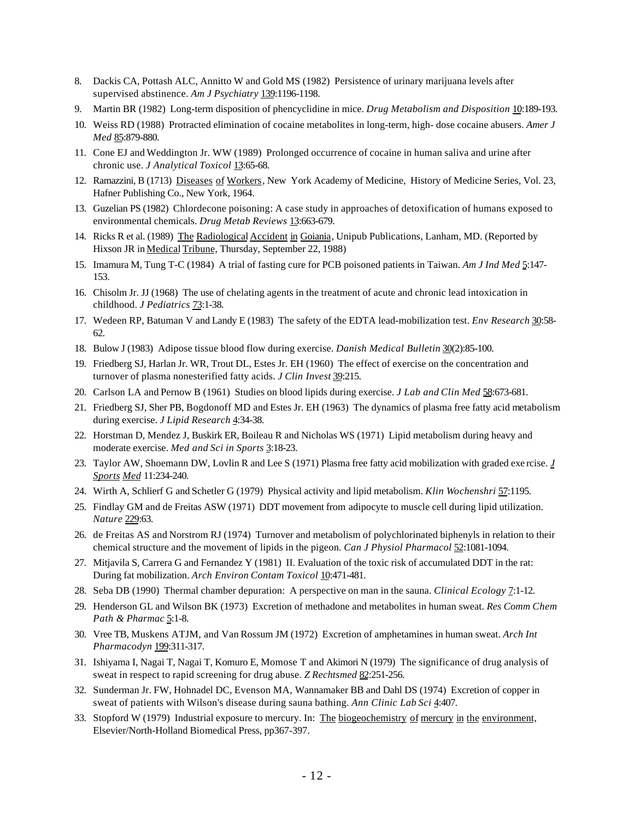- 8. Dackis CA, Pottash ALC, Annitto W and Gold MS (1982) Persistence of urinary marijuana levels after supervised abstinence. *Am J Psychiatry* 139:1196-1198.
- 9. Martin BR (1982) Long-term disposition of phencyclidine in mice. *Drug Metabolism and Disposition* 10:189-193.
- 10. Weiss RD (1988) Protracted elimination of cocaine metabolites in long-term, high- dose cocaine abusers. *Amer J Med* 85:879-880.
- 11. Cone EJ and Weddington Jr. WW (1989) Prolonged occurrence of cocaine in human saliva and urine after chronic use. *J Analytical Toxicol* 13:65-68.
- 12. Ramazzini, B (1713) Diseases of Workers, New York Academy of Medicine, History of Medicine Series, Vol. 23, Hafner Publishing Co., New York, 1964.
- 13. Guzelian PS (1982) Chlordecone poisoning: A case study in approaches of detoxification of humans exposed to environmental chemicals. *Drug Metab Reviews* 13:663-679.
- 14. Ricks R et al. (1989) The Radiological Accident in Goiania, Unipub Publications, Lanham, MD. (Reported by Hixson JR in Medical Tribune, Thursday, September 22, 1988)
- 15. Imamura M, Tung T-C (1984) A trial of fasting cure for PCB poisoned patients in Taiwan. *Am J Ind Med* 5:147- 153.
- 16. Chisolm Jr. JJ (1968) The use of chelating agents in the treatment of acute and chronic lead intoxication in childhood. *J Pediatrics* 73:1-38.
- 17. Wedeen RP, Batuman V and Landy E (1983) The safety of the EDTA lead-mobilization test. *Env Research* 30:58- 62.
- 18. Bulow J (1983) Adipose tissue blood flow during exercise. *Danish Medical Bulletin* 30(2):85-100.
- 19. Friedberg SJ, Harlan Jr. WR, Trout DL, Estes Jr. EH (1960) The effect of exercise on the concentration and turnover of plasma nonesterified fatty acids. *J Clin Invest* 39:215.
- 20. Carlson LA and Pernow B (1961) Studies on blood lipids during exercise. *J Lab and Clin Med* 58:673-681.
- 21. Friedberg SJ, Sher PB, Bogdonoff MD and Estes Jr. EH (1963) The dynamics of plasma free fatty acid metabolism during exercise. *J Lipid Research* 4:34-38.
- 22. Horstman D, Mendez J, Buskirk ER, Boileau R and Nicholas WS (1971) Lipid metabolism during heavy and moderate exercise. *Med and Sci in Sports* 3:18-23.
- 23. Taylor AW, Shoemann DW, Lovlin R and Lee S (1971) Plasma free fatty acid mobilization with graded exe rcise. *J Sports Med* 11:234-240.
- 24. Wirth A, Schlierf G and Schetler G (1979) Physical activity and lipid metabolism. *Klin Wochenshri* 57:1195.
- 25. Findlay GM and de Freitas ASW (1971) DDT movement from adipocyte to muscle cell during lipid utilization. *Nature* 229:63.
- 26. de Freitas AS and Norstrom RJ (1974) Turnover and metabolism of polychlorinated biphenyls in relation to their chemical structure and the movement of lipids in the pigeon. *Can J Physiol Pharmacol* 52:1081-1094.
- 27. Mitjavila S, Carrera G and Fernandez Y (1981) II. Evaluation of the toxic risk of accumulated DDT in the rat: During fat mobilization. *Arch Environ Contam Toxicol* 10:471-481.
- 28. Seba DB (1990) Thermal chamber depuration: A perspective on man in the sauna. *Clinical Ecology* 7:1-12.
- 29. Henderson GL and Wilson BK (1973) Excretion of methadone and metabolites in human sweat. *Res Comm Chem Path & Pharmac* 5:1-8.
- 30. Vree TB, Muskens ATJM, and Van Rossum JM (1972) Excretion of amphetamines in human sweat. *Arch Int Pharmacodyn* 199:311-317.
- 31. Ishiyama I, Nagai T, Nagai T, Komuro E, Momose T and Akimori N (1979) The significance of drug analysis of sweat in respect to rapid screening for drug abuse. *Z Rechtsmed* 82:251-256.
- 32. Sunderman Jr. FW, Hohnadel DC, Evenson MA, Wannamaker BB and Dahl DS (1974) Excretion of copper in sweat of patients with Wilson's disease during sauna bathing. *Ann Clinic Lab Sci* 4:407.
- 33. Stopford W (1979) Industrial exposure to mercury. In: The biogeochemistry of mercury in the environment, Elsevier/North-Holland Biomedical Press, pp367-397.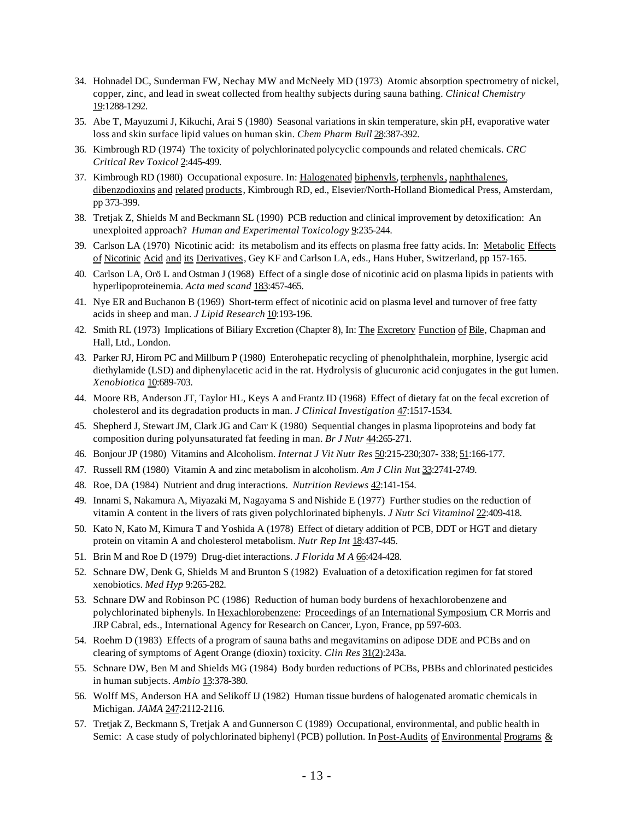- 34. Hohnadel DC, Sunderman FW, Nechay MW and McNeely MD (1973) Atomic absorption spectrometry of nickel, copper, zinc, and lead in sweat collected from healthy subjects during sauna bathing. *Clinical Chemistry* 19:1288-1292.
- 35. Abe T, Mayuzumi J, Kikuchi, Arai S (1980) Seasonal variations in skin temperature, skin pH, evaporative water loss and skin surface lipid values on human skin. *Chem Pharm Bull* 28:387-392.
- 36. Kimbrough RD (1974) The toxicity of polychlorinated polycyclic compounds and related chemicals. *CRC Critical Rev Toxicol* 2:445-499.
- 37. Kimbrough RD (1980) Occupational exposure. In: Halogenated biphenyls, terphenyls, naphthalenes, dibenzodioxins and related products, Kimbrough RD, ed., Elsevier/North-Holland Biomedical Press, Amsterdam, pp 373-399.
- 38. Tretjak Z, Shields M and Beckmann SL (1990) PCB reduction and clinical improvement by detoxification: An unexploited approach? *Human and Experimental Toxicology* 9:235-244.
- 39. Carlson LA (1970) Nicotinic acid: its metabolism and its effects on plasma free fatty acids. In: Metabolic Effects of Nicotinic Acid and its Derivatives, Gey KF and Carlson LA, eds., Hans Huber, Switzerland, pp 157-165.
- 40. Carlson LA, Orö L and Ostman J (1968) Effect of a single dose of nicotinic acid on plasma lipids in patients with hyperlipoproteinemia. *Acta med scand* 183:457-465.
- 41. Nye ER and Buchanon B (1969) Short-term effect of nicotinic acid on plasma level and turnover of free fatty acids in sheep and man. *J Lipid Research* 10:193-196.
- 42. Smith RL (1973) Implications of Biliary Excretion (Chapter 8), In: The Excretory Function of Bile, Chapman and Hall, Ltd., London.
- 43. Parker RJ, Hirom PC and Millburn P (1980) Enterohepatic recycling of phenolphthalein, morphine, lysergic acid diethylamide (LSD) and diphenylacetic acid in the rat. Hydrolysis of glucuronic acid conjugates in the gut lumen. *Xenobiotica* 10:689-703.
- 44. Moore RB, Anderson JT, Taylor HL, Keys A and Frantz ID (1968) Effect of dietary fat on the fecal excretion of cholesterol and its degradation products in man. *J Clinical Investigation* 47:1517-1534.
- 45. Shepherd J, Stewart JM, Clark JG and Carr K (1980) Sequential changes in plasma lipoproteins and body fat composition during polyunsaturated fat feeding in man. *Br J Nutr 44*:265-271.
- 46. Bonjour JP (1980) Vitamins and Alcoholism. *Internat J Vit Nutr Res* 50:215-230;307- 338; 51:166-177.
- 47. Russell RM (1980) Vitamin A and zinc metabolism in alcoholism. *Am J Clin Nut* 33:2741-2749.
- 48. Roe, DA (1984) Nutrient and drug interactions. *Nutrition Reviews* 42:141-154.
- 49. Innami S, Nakamura A, Miyazaki M, Nagayama S and Nishide E (1977) Further studies on the reduction of vitamin A content in the livers of rats given polychlorinated biphenyls. *J Nutr Sci Vitaminol* 22:409-418.
- 50. Kato N, Kato M, Kimura T and Yoshida A (1978) Effect of dietary addition of PCB, DDT or HGT and dietary protein on vitamin A and cholesterol metabolism. *Nutr Rep Int* 18:437-445.
- 51. Brin M and Roe D (1979) Drug-diet interactions. *J Florida M A* 66:424-428.
- 52. Schnare DW, Denk G, Shields M and Brunton S (1982) Evaluation of a detoxification regimen for fat stored xenobiotics. *Med Hyp* 9:265-282.
- 53. Schnare DW and Robinson PC (1986) Reduction of human body burdens of hexachlorobenzene and polychlorinated biphenyls. In Hexachlorobenzene: Proceedings of an International Symposium, CR Morris and JRP Cabral, eds., International Agency for Research on Cancer, Lyon, France, pp 597-603.
- 54. Roehm D (1983) Effects of a program of sauna baths and megavitamins on adipose DDE and PCBs and on clearing of symptoms of Agent Orange (dioxin) toxicity. *Clin Res* 31(2):243a.
- 55. Schnare DW, Ben M and Shields MG (1984) Body burden reductions of PCBs, PBBs and chlorinated pesticides in human subjects. *Ambio* 13:378-380.
- 56. Wolff MS, Anderson HA and Selikoff IJ (1982) Human tissue burdens of halogenated aromatic chemicals in Michigan. *JAMA* 247:2112-2116.
- 57. Tretjak Z, Beckmann S, Tretjak A and Gunnerson C (1989) Occupational, environmental, and public health in Semic: A case study of polychlorinated biphenyl (PCB) pollution. In Post-Audits of Environmental Programs &